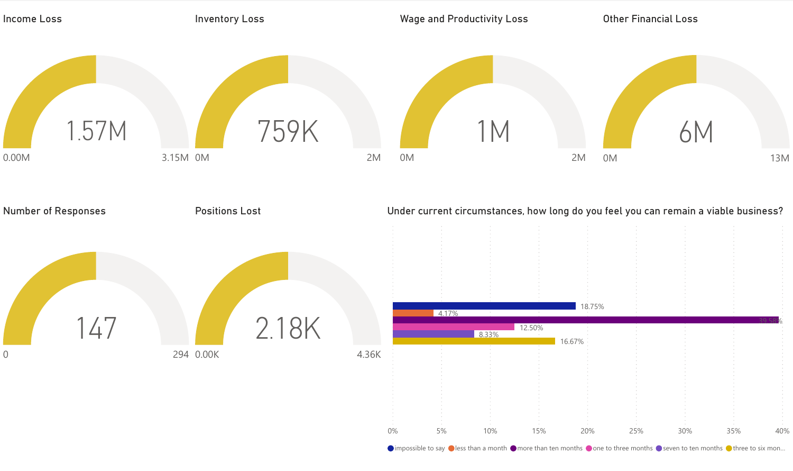

 $\bullet$  impossible to say  $\bullet$  less than a month  $\bullet$  more than ten months  $\bullet$  one to three months  $\bullet$  seven to ten months  $\bullet$  three to six mon...